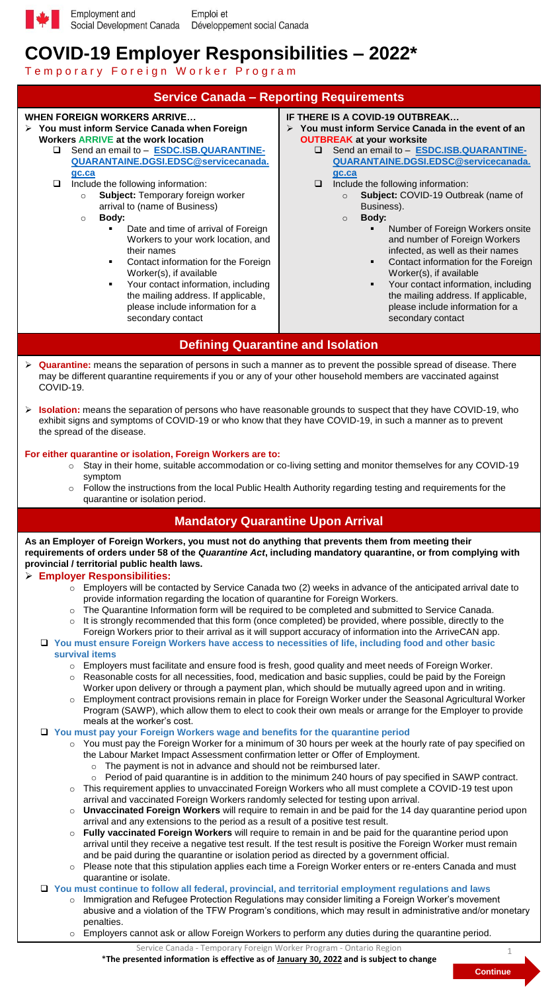

# **COVID-19 Employer Responsibilities – 2022\***

Temporary Foreign Worker Program



o Employers cannot ask or allow Foreign Workers to perform any duties during the quarantine period.

Service Canada - Temporary Foreign Worker Program - Ontario Region \***The presented information is effective as of January 30, 2022 and is subject to change** 

**Continue** 1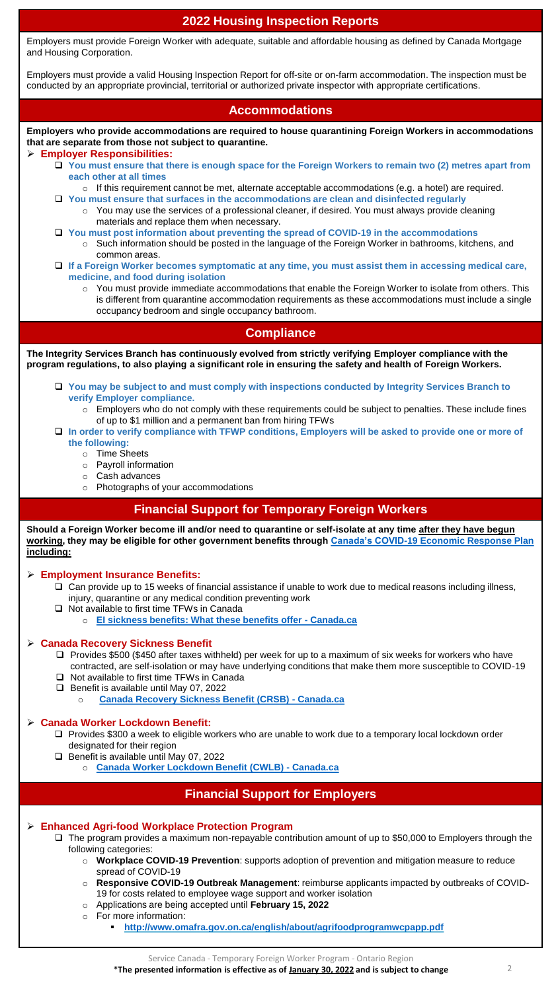## **2022 Housing Inspection Reports**

Employers must provide Foreign Worker with adequate, suitable and affordable housing as defined by Canada Mortgage and Housing Corporation.

Employers must provide a valid Housing Inspection Report for off-site or on-farm accommodation. The inspection must be conducted by an appropriate provincial, territorial or authorized private inspector with appropriate certifications.

### **Accommodations**

**Employers who provide accommodations are required to house quarantining Foreign Workers in accommodations that are separate from those not subject to quarantine.**

#### **Employer Responsibilities:**

- **You must ensure that there is enough space for the Foreign Workers to remain two (2) metres apart from each other at all times**
- o If this requirement cannot be met, alternate acceptable accommodations (e.g. a hotel) are required. **You must ensure that surfaces in the accommodations are clean and disinfected regularly**
	- o You may use the services of a professional cleaner, if desired. You must always provide cleaning materials and replace them when necessary.
- **You must post information about preventing the spread of COVID-19 in the accommodations** o Such information should be posted in the language of the Foreign Worker in bathrooms, kitchens, and common areas.
- **If a Foreign Worker becomes symptomatic at any time, you must assist them in accessing medical care, medicine, and food during isolation** 
	- $\circ$  You must provide immediate accommodations that enable the Foreign Worker to isolate from others. This is different from quarantine accommodation requirements as these accommodations must include a single occupancy bedroom and single occupancy bathroom.

### **Compliance**

**The Integrity Services Branch has continuously evolved from strictly verifying Employer compliance with the program regulations, to also playing a significant role in ensuring the safety and health of Foreign Workers.**

- **You may be subject to and must comply with inspections conducted by Integrity Services Branch to verify Employer compliance.**
	- o Employers who do not comply with these requirements could be subject to penalties. These include fines of up to \$1 million and a permanent ban from hiring TFWs
- **In order to verify compliance with TFWP conditions, Employers will be asked to provide one or more of the following:** 
	- o Time Sheets
		- o Payroll information
		- o Cash advances
		- o Photographs of your accommodations

### **Financial Support for Temporary Foreign Workers**

**Should a Foreign Worker become ill and/or need to quarantine or self-isolate at any time after they have begun working, they may be eligible for other government benefits through [Canada's COVID-19 Economic Response Plan](https://www.canada.ca/en/services/benefits/covid19-emergency-benefits.html)  including:**

**Employment Insurance Benefits:**

- Can provide up to 15 weeks of financial assistance if unable to work due to medical reasons including illness, injury, quarantine or any medical condition preventing work
- $\Box$  Not available to first time TFWs in Canada
	- o **[EI sickness benefits: What these benefits offer -](https://www.canada.ca/en/services/benefits/ei/ei-sickness.html) Canada.ca**

#### **Canada Recovery Sickness Benefit**

- $\Box$  Provides \$500 (\$450 after taxes withheld) per week for up to a maximum of six weeks for workers who have contracted, are self-isolation or may have underlying conditions that make them more susceptible to COVID-19
- □ Not available to first time TFWs in Canada Benefit is available until May 07, 2022
	- o **[Canada Recovery Sickness Benefit \(CRSB\) -](https://www.canada.ca/en/revenue-agency/services/benefits/recovery-sickness-benefit.html) Canada.ca**

#### **Canada Worker Lockdown Benefit:**

- Provides \$300 a week to eligible workers who are unable to work due to a temporary local lockdown order designated for their region
- Benefit is available until May 07, 2022
	- o **[Canada Worker Lockdown Benefit \(CWLB\) -](https://www.canada.ca/en/revenue-agency/services/benefits/worker-lockdown-benefit.html) Canada.ca**

## **Financial Support for Employers**

#### **Enhanced Agri-food Workplace Protection Program**

- The program provides a maximum non-repayable contribution amount of up to \$50,000 to Employers through the following categories:
	- o **Workplace COVID-19 Prevention**: supports adoption of prevention and mitigation measure to reduce spread of COVID-19
	- o **Responsive COVID-19 Outbreak Management**: reimburse applicants impacted by outbreaks of COVID-19 for costs related to employee wage support and worker isolation
	- o Applications are being accepted until **February 15, 2022**
	- o For more information:
		- **<http://www.omafra.gov.on.ca/english/about/agrifoodprogramwcpapp.pdf>**

Service Canada - Temporary Foreign Worker Program - Ontario Region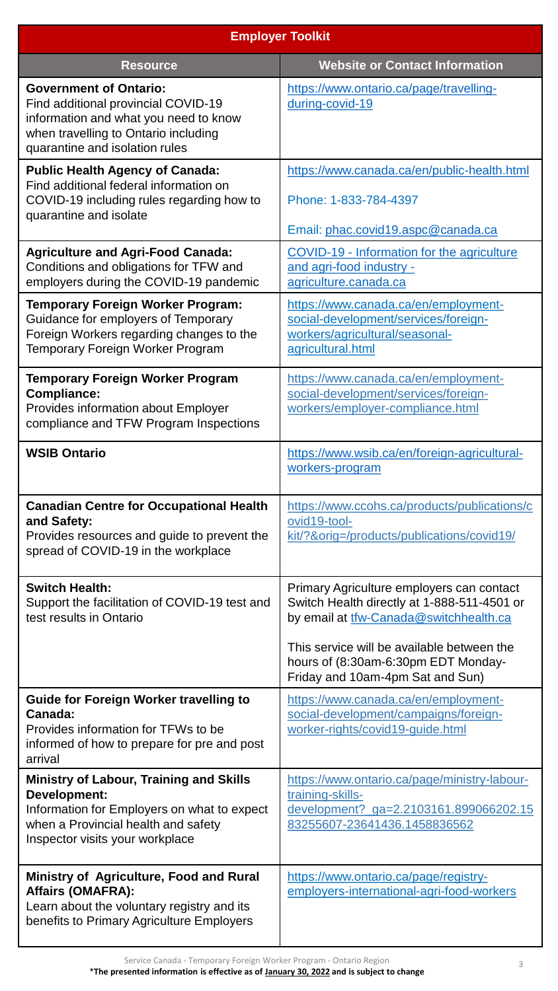| <b>Employer Toolkit</b>                                                                                                                                                                 |                                                                                                                                                                                                                                                             |  |  |
|-----------------------------------------------------------------------------------------------------------------------------------------------------------------------------------------|-------------------------------------------------------------------------------------------------------------------------------------------------------------------------------------------------------------------------------------------------------------|--|--|
| <b>Resource</b>                                                                                                                                                                         | <b>Website or Contact Information</b>                                                                                                                                                                                                                       |  |  |
| <b>Government of Ontario:</b><br>Find additional provincial COVID-19<br>information and what you need to know<br>when travelling to Ontario including<br>quarantine and isolation rules | https://www.ontario.ca/page/travelling-<br>during-covid-19                                                                                                                                                                                                  |  |  |
| <b>Public Health Agency of Canada:</b><br>Find additional federal information on<br>COVID-19 including rules regarding how to<br>quarantine and isolate                                 | https://www.canada.ca/en/public-health.html<br>Phone: 1-833-784-4397<br>Email: phac.covid19.aspc@canada.ca                                                                                                                                                  |  |  |
| <b>Agriculture and Agri-Food Canada:</b><br>Conditions and obligations for TFW and<br>employers during the COVID-19 pandemic                                                            | COVID-19 - Information for the agriculture<br>and agri-food industry -<br>agriculture.canada.ca                                                                                                                                                             |  |  |
| <b>Temporary Foreign Worker Program:</b><br>Guidance for employers of Temporary<br>Foreign Workers regarding changes to the<br><b>Temporary Foreign Worker Program</b>                  | https://www.canada.ca/en/employment-<br>social-development/services/foreign-<br>workers/agricultural/seasonal-<br>agricultural.html                                                                                                                         |  |  |
| <b>Temporary Foreign Worker Program</b><br><b>Compliance:</b><br><b>Provides information about Employer</b><br>compliance and TFW Program Inspections                                   | https://www.canada.ca/en/employment-<br>social-development/services/foreign-<br>workers/employer-compliance.html                                                                                                                                            |  |  |
| <b>WSIB Ontario</b>                                                                                                                                                                     | https://www.wsib.ca/en/foreign-agricultural-<br>workers-program                                                                                                                                                                                             |  |  |
| <b>Canadian Centre for Occupational Health</b><br>and Safety:<br>Provides resources and guide to prevent the<br>spread of COVID-19 in the workplace                                     | https://www.ccohs.ca/products/publications/c<br>ovid19-tool-<br>kit/?&orig=/products/publications/covid19/                                                                                                                                                  |  |  |
| <b>Switch Health:</b><br>Support the facilitation of COVID-19 test and<br>test results in Ontario                                                                                       | Primary Agriculture employers can contact<br>Switch Health directly at 1-888-511-4501 or<br>by email at tfw-Canada@switchhealth.ca<br>This service will be available between the<br>hours of (8:30am-6:30pm EDT Monday-<br>Friday and 10am-4pm Sat and Sun) |  |  |
| <b>Guide for Foreign Worker travelling to</b><br>Canada:<br>Provides information for TFWs to be<br>informed of how to prepare for pre and post<br>arrival                               | https://www.canada.ca/en/employment-<br>social-development/campaigns/foreign-<br>worker-rights/covid19-guide.html                                                                                                                                           |  |  |
| <b>Ministry of Labour, Training and Skills</b><br>Development:<br>Information for Employers on what to expect<br>when a Provincial health and safety<br>Inspector visits your workplace | https://www.ontario.ca/page/ministry-labour-<br>training-skills-<br>development?_ga=2.2103161.899066202.15<br>83255607-23641436.1458836562                                                                                                                  |  |  |
| <b>Ministry of Agriculture, Food and Rural</b><br><b>Affairs (OMAFRA):</b><br>Learn about the voluntary registry and its<br>benefits to Primary Agriculture Employers                   | https://www.ontario.ca/page/registry-<br>employers-international-agri-food-workers                                                                                                                                                                          |  |  |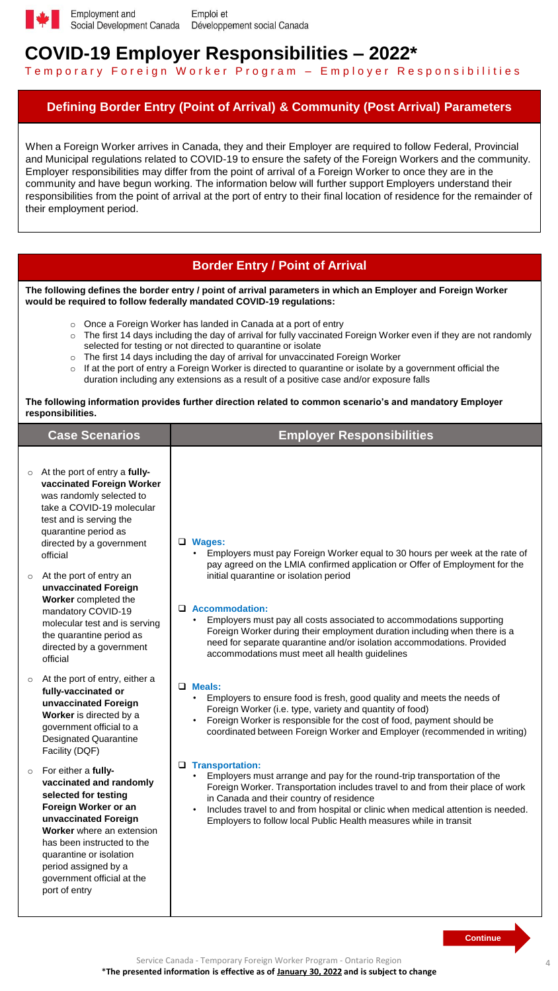

## **COVID-19 Employer Responsibilities – 2022\***

Temporary Foreign Worker Program - Employer Responsibilities

## **Defining Border Entry (Point of Arrival) & Community (Post Arrival) Parameters**

When a Foreign Worker arrives in Canada, they and their Employer are required to follow Federal, Provincial and Municipal regulations related to COVID-19 to ensure the safety of the Foreign Workers and the community. Employer responsibilities may differ from the point of arrival of a Foreign Worker to once they are in the community and have begun working. The information below will further support Employers understand their responsibilities from the point of arrival at the port of entry to their final location of residence for the remainder of their employment period.

## **Border Entry / Point of Arrival**

**The following defines the border entry / point of arrival parameters in which an Employer and Foreign Worker would be required to follow federally mandated COVID-19 regulations:** 

- o Once a Foreign Worker has landed in Canada at a port of entry
- $\circ$  The first 14 days including the day of arrival for fully vaccinated Foreign Worker even if they are not randomly selected for testing or not directed to quarantine or isolate
- $\circ$  The first 14 days including the day of arrival for unvaccinated Foreign Worker
- $\circ$  If at the port of entry a Foreign Worker is directed to quarantine or isolate by a government official the duration including any extensions as a result of a positive case and/or exposure falls

#### **The following information provides further direction related to common scenario's and mandatory Employer responsibilities.**

|         | <b>Case Scenarios</b>                                                                                                                                                                                                                                                               | <b>Employer Responsibilities</b>                                                                                                                                                                                                                                                                                                                                                                        |
|---------|-------------------------------------------------------------------------------------------------------------------------------------------------------------------------------------------------------------------------------------------------------------------------------------|---------------------------------------------------------------------------------------------------------------------------------------------------------------------------------------------------------------------------------------------------------------------------------------------------------------------------------------------------------------------------------------------------------|
|         | $\circ$ At the port of entry a fully-<br>vaccinated Foreign Worker<br>was randomly selected to<br>take a COVID-19 molecular<br>test and is serving the<br>quarantine period as<br>directed by a government<br>official                                                              | <b>Q</b> Wages:<br>Employers must pay Foreign Worker equal to 30 hours per week at the rate of<br>pay agreed on the LMIA confirmed application or Offer of Employment for the                                                                                                                                                                                                                           |
| $\circ$ | At the port of entry an<br>unvaccinated Foreign<br>Worker completed the<br>mandatory COVID-19<br>molecular test and is serving<br>the quarantine period as<br>directed by a government<br>official                                                                                  | initial quarantine or isolation period<br>$\Box$ Accommodation:<br>Employers must pay all costs associated to accommodations supporting<br>Foreign Worker during their employment duration including when there is a<br>need for separate quarantine and/or isolation accommodations. Provided<br>accommodations must meet all health guidelines                                                        |
| $\circ$ | At the port of entry, either a<br>fully-vaccinated or<br>unvaccinated Foreign<br>Worker is directed by a<br>government official to a<br><b>Designated Quarantine</b><br>Facility (DQF)                                                                                              | $\Box$ Meals:<br>Employers to ensure food is fresh, good quality and meets the needs of<br>Foreign Worker (i.e. type, variety and quantity of food)<br>Foreign Worker is responsible for the cost of food, payment should be<br>coordinated between Foreign Worker and Employer (recommended in writing)                                                                                                |
| $\circ$ | For either a fully-<br>vaccinated and randomly<br>selected for testing<br>Foreign Worker or an<br>unvaccinated Foreign<br>Worker where an extension<br>has been instructed to the<br>quarantine or isolation<br>period assigned by a<br>government official at the<br>port of entry | <b>u</b> Transportation:<br>Employers must arrange and pay for the round-trip transportation of the<br>Foreign Worker. Transportation includes travel to and from their place of work<br>in Canada and their country of residence<br>Includes travel to and from hospital or clinic when medical attention is needed.<br>$\bullet$<br>Employers to follow local Public Health measures while in transit |
|         |                                                                                                                                                                                                                                                                                     | <b>Continue</b>                                                                                                                                                                                                                                                                                                                                                                                         |